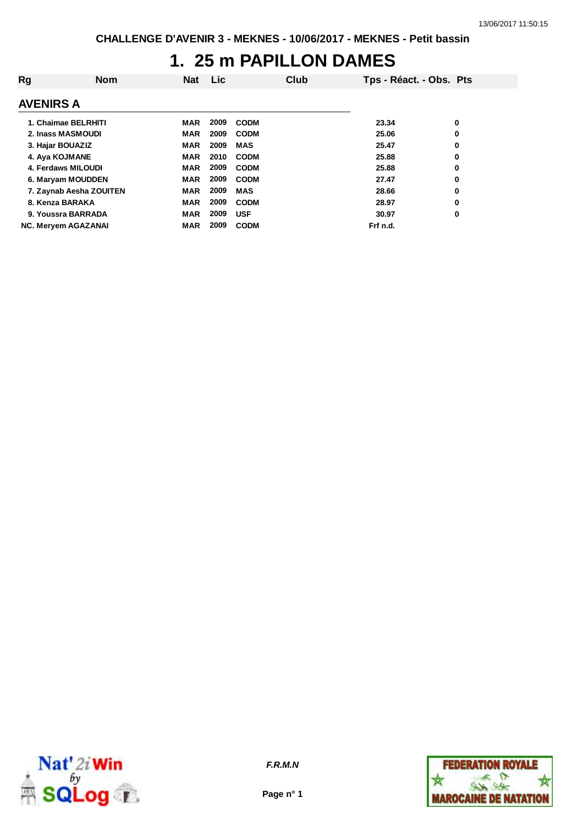## **1. 25 m PAPILLON DAMES**

| Rg | <b>Nom</b>                 | <b>Nat</b> | <b>Lic</b> |             | Club | Tps - Réact. - Obs. Pts |   |
|----|----------------------------|------------|------------|-------------|------|-------------------------|---|
|    | <b>AVENIRS A</b>           |            |            |             |      |                         |   |
|    | 1. Chaimae BELRHITI        | MAR        | 2009       | <b>CODM</b> |      | 23.34                   | 0 |
|    | 2. Inass MASMOUDI          | <b>MAR</b> | 2009       | <b>CODM</b> |      | 25.06                   | 0 |
|    | 3. Hajar BOUAZIZ           | <b>MAR</b> | 2009       | <b>MAS</b>  |      | 25.47                   | 0 |
|    | 4. Aya KOJMANE             | <b>MAR</b> | 2010       | <b>CODM</b> |      | 25.88                   | 0 |
|    | 4. Ferdaws MILOUDI         | <b>MAR</b> | 2009       | <b>CODM</b> |      | 25.88                   | 0 |
|    | 6. Maryam MOUDDEN          | <b>MAR</b> | 2009       | <b>CODM</b> |      | 27.47                   | 0 |
|    | 7. Zaynab Aesha ZOUITEN    | <b>MAR</b> | 2009       | <b>MAS</b>  |      | 28.66                   | 0 |
|    | 8. Kenza BARAKA            | <b>MAR</b> | 2009       | <b>CODM</b> |      | 28.97                   | 0 |
|    | 9. Youssra BARRADA         | <b>MAR</b> | 2009       | <b>USF</b>  |      | 30.97                   | 0 |
|    | <b>NC. Meryem AGAZANAI</b> | <b>MAR</b> | 2009       | <b>CODM</b> |      | Frf n.d.                |   |



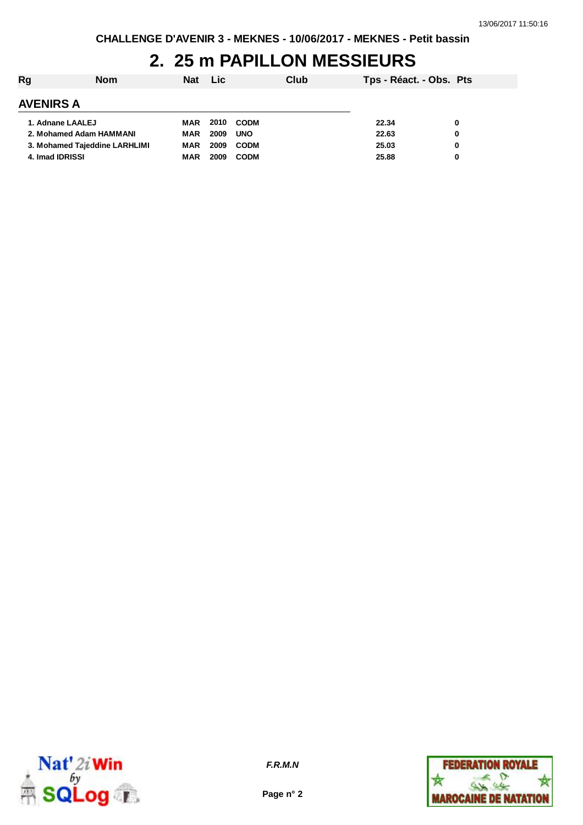# **2. 25 m PAPILLON MESSIEURS**

| Rg               | <b>Nom</b>                    | <b>Nat</b> | <b>Lic</b> |             | Club | Tps - Réact. - Obs. Pts |   |
|------------------|-------------------------------|------------|------------|-------------|------|-------------------------|---|
| <b>AVENIRS A</b> |                               |            |            |             |      |                         |   |
| 1. Adnane LAALEJ |                               | MAR        | 2010       | <b>CODM</b> |      | 22.34                   | 0 |
|                  | 2. Mohamed Adam HAMMANI       | MAR        | 2009       | <b>UNO</b>  |      | 22.63                   | 0 |
|                  | 3. Mohamed Tajeddine LARHLIMI | MAR        | 2009       | <b>CODM</b> |      | 25.03                   | 0 |
| 4. Imad IDRISSI  |                               | <b>MAR</b> | 2009       | <b>CODM</b> |      | 25.88                   | 0 |



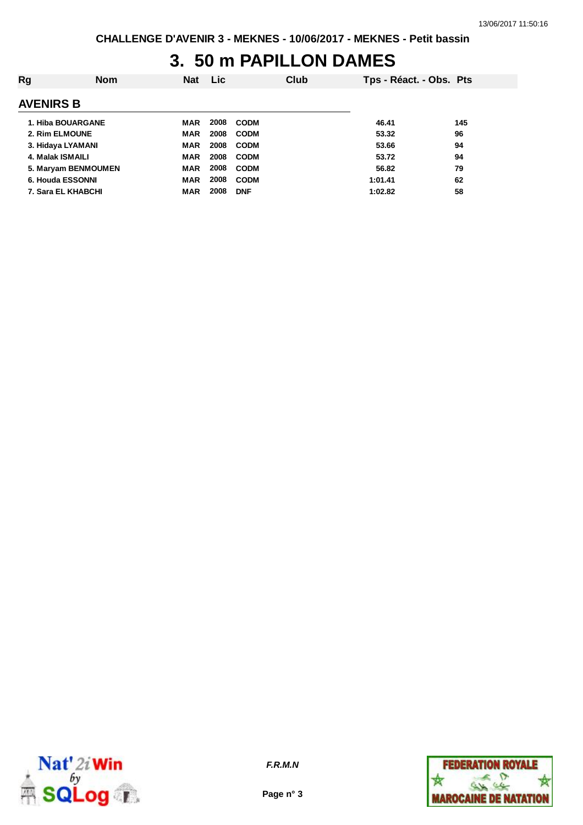## **3. 50 m PAPILLON DAMES**

| Rg               | <b>Nom</b>          | <b>Nat</b> | <b>Lic</b> |             | Club | Tps - Réact. - Obs. Pts |     |
|------------------|---------------------|------------|------------|-------------|------|-------------------------|-----|
| <b>AVENIRS B</b> |                     |            |            |             |      |                         |     |
|                  | 1. Hiba BOUARGANE   | MAR        | 2008       | <b>CODM</b> |      | 46.41                   | 145 |
|                  | 2. Rim ELMOUNE      | <b>MAR</b> | 2008       | <b>CODM</b> |      | 53.32                   | 96  |
|                  | 3. Hidaya LYAMANI   | <b>MAR</b> | 2008       | <b>CODM</b> |      | 53.66                   | 94  |
|                  | 4. Malak ISMAILI    | <b>MAR</b> | 2008       | <b>CODM</b> |      | 53.72                   | 94  |
|                  | 5. Maryam BENMOUMEN | <b>MAR</b> | 2008       | <b>CODM</b> |      | 56.82                   | 79  |
|                  | 6. Houda ESSONNI    | <b>MAR</b> | 2008       | <b>CODM</b> |      | 1:01.41                 | 62  |
|                  | 7. Sara EL KHABCHI  | <b>MAR</b> | 2008       | <b>DNF</b>  |      | 1:02.82                 | 58  |
|                  |                     |            |            |             |      |                         |     |



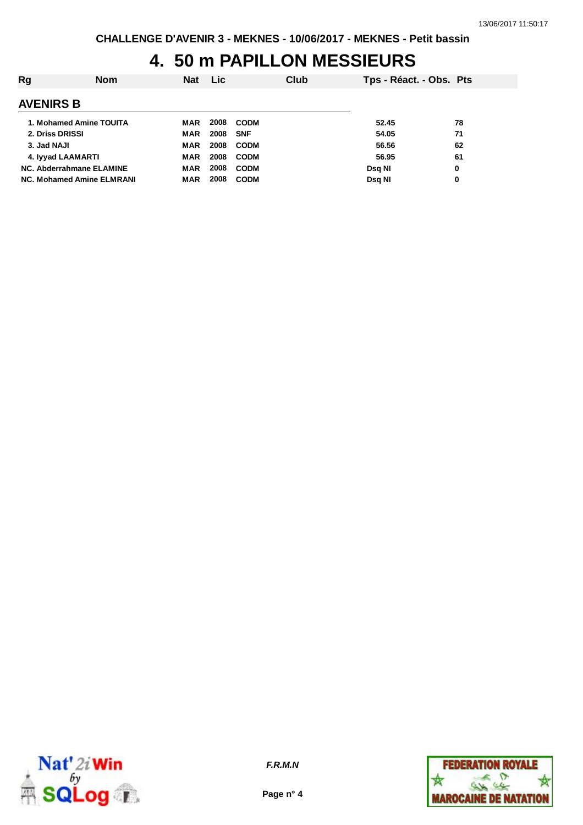## **4. 50 m PAPILLON MESSIEURS**

| Rg                        | <b>Nom</b> | <b>Nat</b> | <b>Lic</b> |             | Club | Tps - Réact. - Obs. Pts |    |
|---------------------------|------------|------------|------------|-------------|------|-------------------------|----|
| <b>AVENIRS B</b>          |            |            |            |             |      |                         |    |
| 1. Mohamed Amine TOUITA   |            | <b>MAR</b> | 2008       | <b>CODM</b> |      | 52.45                   | 78 |
| 2. Driss DRISSI           |            | <b>MAR</b> | 2008       | <b>SNF</b>  |      | 54.05                   | 71 |
| 3. Jad NAJI               |            | <b>MAR</b> | 2008       | <b>CODM</b> |      | 56.56                   | 62 |
| 4. Iyyad LAAMARTI         |            | <b>MAR</b> | 2008       | <b>CODM</b> |      | 56.95                   | 61 |
| NC. Abderrahmane ELAMINE  |            | <b>MAR</b> | 2008       | <b>CODM</b> |      | Dsg NI                  | 0  |
| NC. Mohamed Amine ELMRANI |            | <b>MAR</b> | 2008       | <b>CODM</b> |      | Dsg NI                  | 0  |



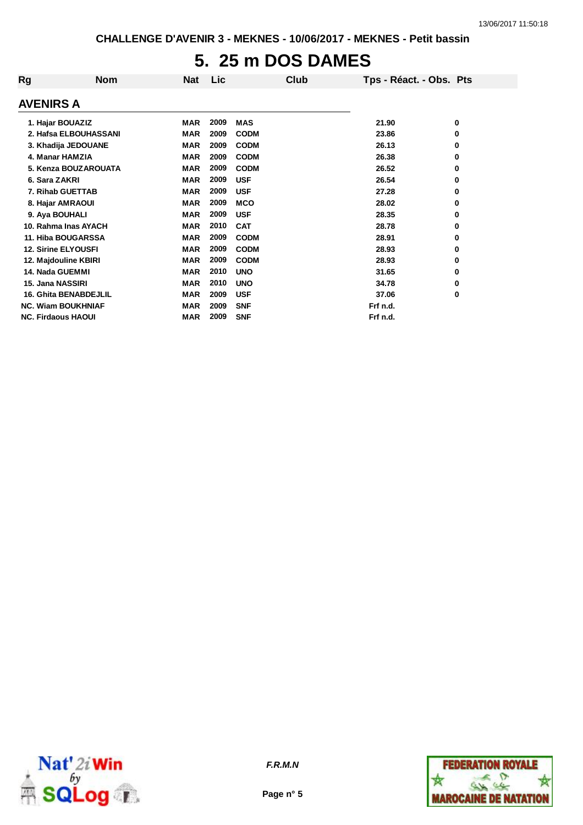# **5. 25 m DOS DAMES**

| Rg                        | <b>Nom</b>                   | <b>Nat</b> | <b>Lic</b> |             | Club | Tps - Réact. - Obs. Pts |   |
|---------------------------|------------------------------|------------|------------|-------------|------|-------------------------|---|
| <b>AVENIRS A</b>          |                              |            |            |             |      |                         |   |
| 1. Hajar BOUAZIZ          |                              | <b>MAR</b> | 2009       | <b>MAS</b>  |      | 21.90                   | 0 |
|                           | 2. Hafsa ELBOUHASSANI        | <b>MAR</b> | 2009       | <b>CODM</b> |      | 23.86                   | 0 |
|                           | 3. Khadija JEDOUANE          | <b>MAR</b> | 2009       | <b>CODM</b> |      | 26.13                   | 0 |
| 4. Manar HAMZIA           |                              | <b>MAR</b> | 2009       | <b>CODM</b> |      | 26.38                   | 0 |
|                           | 5. Kenza BOUZAROUATA         | <b>MAR</b> | 2009       | <b>CODM</b> |      | 26.52                   | 0 |
| 6. Sara ZAKRI             |                              | <b>MAR</b> | 2009       | <b>USF</b>  |      | 26.54                   | 0 |
|                           | 7. Rihab GUETTAB             | <b>MAR</b> | 2009       | <b>USF</b>  |      | 27.28                   | 0 |
|                           | 8. Hajar AMRAOUI             | <b>MAR</b> | 2009       | <b>MCO</b>  |      | 28.02                   | 0 |
| 9. Aya BOUHALI            |                              | <b>MAR</b> | 2009       | <b>USF</b>  |      | 28.35                   | 0 |
|                           | 10. Rahma Inas AYACH         | <b>MAR</b> | 2010       | <b>CAT</b>  |      | 28.78                   | 0 |
|                           | 11. Hiba BOUGARSSA           | <b>MAR</b> | 2009       | <b>CODM</b> |      | 28.91                   | 0 |
|                           | <b>12. Sirine ELYOUSFI</b>   | <b>MAR</b> | 2009       | <b>CODM</b> |      | 28.93                   | 0 |
|                           | 12. Majdouline KBIRI         | <b>MAR</b> | 2009       | <b>CODM</b> |      | 28.93                   | 0 |
| 14. Nada GUEMMI           |                              | <b>MAR</b> | 2010       | <b>UNO</b>  |      | 31.65                   | 0 |
| 15. Jana NASSIRI          |                              | <b>MAR</b> | 2010       | <b>UNO</b>  |      | 34.78                   | 0 |
|                           | <b>16. Ghita BENABDEJLIL</b> | <b>MAR</b> | 2009       | <b>USF</b>  |      | 37.06                   | 0 |
|                           | <b>NC. Wiam BOUKHNIAF</b>    | <b>MAR</b> | 2009       | <b>SNF</b>  |      | Frf n.d.                |   |
| <b>NC. Firdaous HAOUI</b> |                              | MAR        | 2009       | <b>SNF</b>  |      | Frf n.d.                |   |



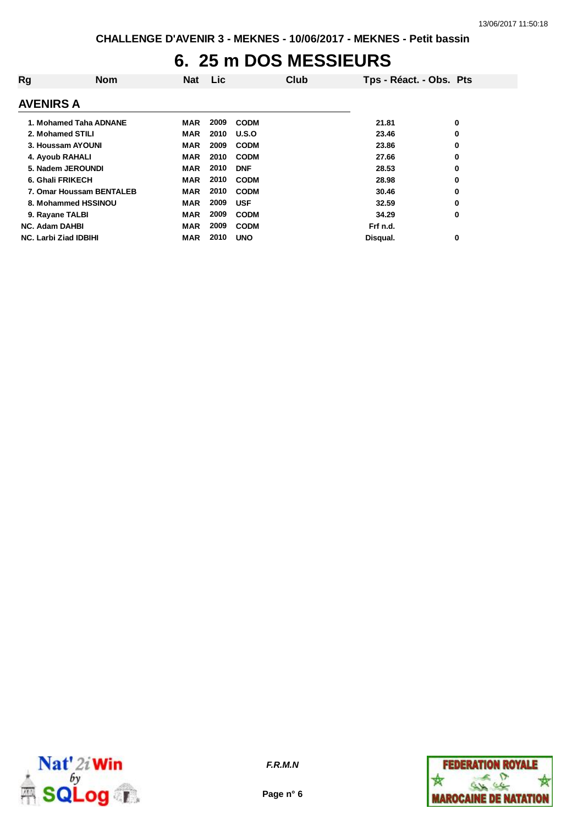## **6. 25 m DOS MESSIEURS**

| Rg                       | <b>Nom</b> | <b>Nat</b> | <b>Lic</b> |             | Club | Tps - Réact. - Obs. Pts |   |
|--------------------------|------------|------------|------------|-------------|------|-------------------------|---|
| <b>AVENIRS A</b>         |            |            |            |             |      |                         |   |
| 1. Mohamed Taha ADNANE   |            | MAR        | 2009       | <b>CODM</b> |      | 21.81                   | 0 |
| 2. Mohamed STILI         |            | MAR        | 2010       | U.S.O       |      | 23.46                   | 0 |
| 3. Houssam AYOUNI        |            | <b>MAR</b> | 2009       | <b>CODM</b> |      | 23.86                   | 0 |
| 4. Ayoub RAHALI          |            | <b>MAR</b> | 2010       | <b>CODM</b> |      | 27.66                   | 0 |
| 5. Nadem JEROUNDI        |            | <b>MAR</b> | 2010       | <b>DNF</b>  |      | 28.53                   | 0 |
| 6. Ghali FRIKECH         |            | MAR        | 2010       | <b>CODM</b> |      | 28.98                   | 0 |
| 7. Omar Houssam BENTALEB |            | <b>MAR</b> | 2010       | <b>CODM</b> |      | 30.46                   | 0 |
| 8. Mohammed HSSINOU      |            | MAR        | 2009       | <b>USF</b>  |      | 32.59                   | 0 |
| 9. Rayane TALBI          |            | MAR        | 2009       | <b>CODM</b> |      | 34.29                   | 0 |
| <b>NC. Adam DAHBI</b>    |            | <b>MAR</b> | 2009       | <b>CODM</b> |      | Frf n.d.                |   |
| NC. Larbi Ziad IDBIHI    |            | <b>MAR</b> | 2010       | <b>UNO</b>  |      | Disqual.                | 0 |



**Page n° 6**

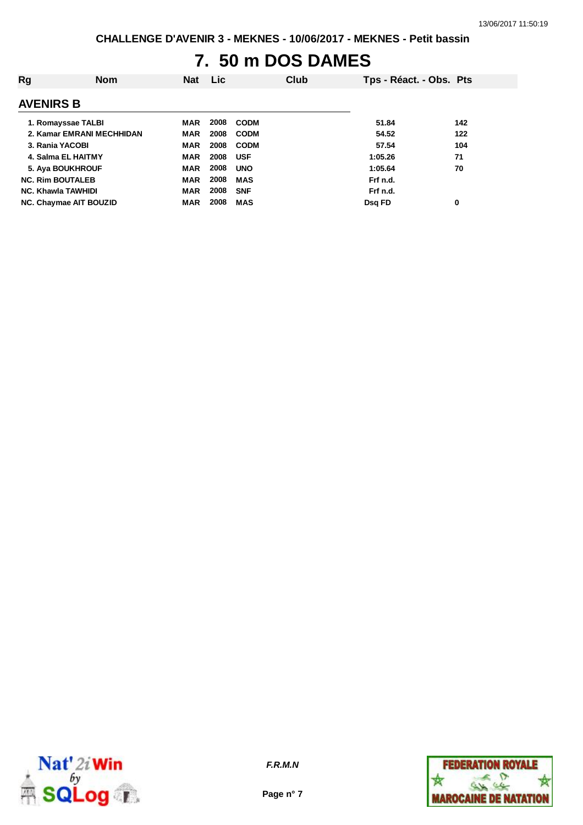# **7. 50 m DOS DAMES**

| Rg                        | <b>Nom</b>                | <b>Nat</b> | <b>Lic</b> |             | Club | Tps - Réact. - Obs. Pts |     |
|---------------------------|---------------------------|------------|------------|-------------|------|-------------------------|-----|
| <b>AVENIRS B</b>          |                           |            |            |             |      |                         |     |
| 1. Romayssae TALBI        |                           | <b>MAR</b> | 2008       | <b>CODM</b> |      | 51.84                   | 142 |
|                           | 2. Kamar EMRANI MECHHIDAN | <b>MAR</b> | 2008       | <b>CODM</b> |      | 54.52                   | 122 |
| 3. Rania YACOBI           |                           | <b>MAR</b> | 2008       | <b>CODM</b> |      | 57.54                   | 104 |
| 4. Salma EL HAITMY        |                           | <b>MAR</b> | 2008       | <b>USF</b>  |      | 1:05.26                 | 71  |
| 5. Aya BOUKHROUF          |                           | <b>MAR</b> | 2008       | <b>UNO</b>  |      | 1:05.64                 | 70  |
| <b>NC. Rim BOUTALEB</b>   |                           | <b>MAR</b> | 2008       | <b>MAS</b>  |      | Frf n.d.                |     |
| <b>NC. Khawla TAWHIDI</b> |                           | <b>MAR</b> | 2008       | <b>SNF</b>  |      | Frf n.d.                |     |
| NC. Chaymae AIT BOUZID    |                           | <b>MAR</b> | 2008       | <b>MAS</b>  |      | Dsq FD                  | 0   |



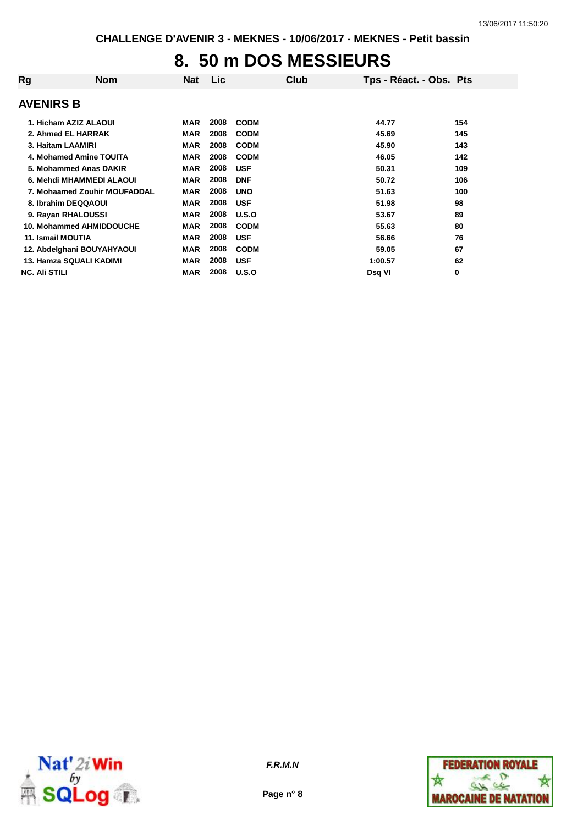### **8. 50 m DOS MESSIEURS**

| Rg                           | Nom | Nat        | <b>Lic</b> |             | Club | Tps - Réact. - Obs. Pts |     |
|------------------------------|-----|------------|------------|-------------|------|-------------------------|-----|
| <b>AVENIRS B</b>             |     |            |            |             |      |                         |     |
| 1. Hicham AZIZ ALAOUI        |     | <b>MAR</b> | 2008       | <b>CODM</b> |      | 44.77                   | 154 |
| 2. Ahmed EL HARRAK           |     | <b>MAR</b> | 2008       | <b>CODM</b> |      | 45.69                   | 145 |
| 3. Haitam LAAMIRI            |     | <b>MAR</b> | 2008       | <b>CODM</b> |      | 45.90                   | 143 |
| 4. Mohamed Amine TOUITA      |     | <b>MAR</b> | 2008       | <b>CODM</b> |      | 46.05                   | 142 |
| 5. Mohammed Anas DAKIR       |     | <b>MAR</b> | 2008       | <b>USF</b>  |      | 50.31                   | 109 |
| 6. Mehdi MHAMMEDI ALAOUI     |     | <b>MAR</b> | 2008       | <b>DNF</b>  |      | 50.72                   | 106 |
| 7. Mohaamed Zouhir MOUFADDAL |     | <b>MAR</b> | 2008       | <b>UNO</b>  |      | 51.63                   | 100 |
| 8. Ibrahim DEQQAOUI          |     | <b>MAR</b> | 2008       | <b>USF</b>  |      | 51.98                   | 98  |
| 9. Rayan RHALOUSSI           |     | MAR        | 2008       | U.S.O       |      | 53.67                   | 89  |
| 10. Mohammed AHMIDDOUCHE     |     | <b>MAR</b> | 2008       | <b>CODM</b> |      | 55.63                   | 80  |
| 11. Ismail MOUTIA            |     | <b>MAR</b> | 2008       | <b>USF</b>  |      | 56.66                   | 76  |
| 12. Abdelghani BOUYAHYAOUI   |     | <b>MAR</b> | 2008       | <b>CODM</b> |      | 59.05                   | 67  |
| 13. Hamza SQUALI KADIMI      |     | <b>MAR</b> | 2008       | <b>USF</b>  |      | 1:00.57                 | 62  |
| <b>NC. Ali STILI</b>         |     | <b>MAR</b> | 2008       | U.S.O       |      | Dsq VI                  | 0   |



**Page n° 8**

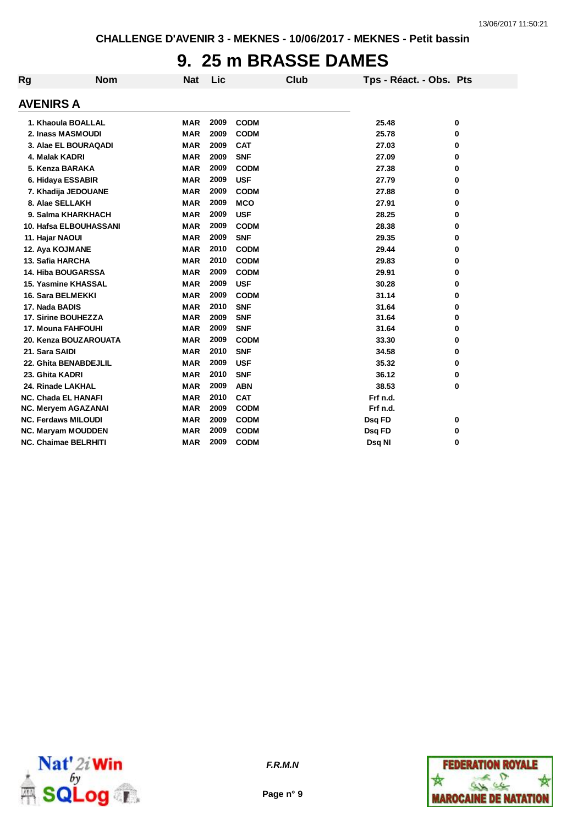#### **9. 25 m BRASSE DAMES**

| Rg | <b>Nom</b>                  | <b>Nat</b> | Lic  |             | <b>Club</b> | Tps - Réact. - Obs. Pts |   |
|----|-----------------------------|------------|------|-------------|-------------|-------------------------|---|
|    | <b>AVENIRS A</b>            |            |      |             |             |                         |   |
|    | 1. Khaoula BOALLAL          | <b>MAR</b> | 2009 | <b>CODM</b> |             | 25.48                   | 0 |
|    | 2. Inass MASMOUDI           | <b>MAR</b> | 2009 | <b>CODM</b> |             | 25.78                   | 0 |
|    | 3. Alae EL BOURAQADI        | <b>MAR</b> | 2009 | <b>CAT</b>  |             | 27.03                   | 0 |
|    | 4. Malak KADRI              | <b>MAR</b> | 2009 | <b>SNF</b>  |             | 27.09                   | 0 |
|    | 5. Kenza BARAKA             | <b>MAR</b> | 2009 | <b>CODM</b> |             | 27.38                   | 0 |
|    | 6. Hidaya ESSABIR           | <b>MAR</b> | 2009 | <b>USF</b>  |             | 27.79                   | 0 |
|    | 7. Khadija JEDOUANE         | <b>MAR</b> | 2009 | <b>CODM</b> |             | 27.88                   | 0 |
|    | 8. Alae SELLAKH             | <b>MAR</b> | 2009 | <b>MCO</b>  |             | 27.91                   | 0 |
|    | 9. Salma KHARKHACH          | <b>MAR</b> | 2009 | <b>USF</b>  |             | 28.25                   | 0 |
|    | 10. Hafsa ELBOUHASSANI      | <b>MAR</b> | 2009 | <b>CODM</b> |             | 28.38                   | 0 |
|    | 11. Hajar NAOUI             | <b>MAR</b> | 2009 | <b>SNF</b>  |             | 29.35                   | 0 |
|    | 12. Aya KOJMANE             | <b>MAR</b> | 2010 | <b>CODM</b> |             | 29.44                   | 0 |
|    | 13. Safia HARCHA            | <b>MAR</b> | 2010 | <b>CODM</b> |             | 29.83                   | 0 |
|    | <b>14. Hiba BOUGARSSA</b>   | <b>MAR</b> | 2009 | <b>CODM</b> |             | 29.91                   | 0 |
|    | <b>15. Yasmine KHASSAL</b>  | <b>MAR</b> | 2009 | <b>USF</b>  |             | 30.28                   | 0 |
|    | 16. Sara BELMEKKI           | <b>MAR</b> | 2009 | <b>CODM</b> |             | 31.14                   | 0 |
|    | 17. Nada BADIS              | <b>MAR</b> | 2010 | <b>SNF</b>  |             | 31.64                   | 0 |
|    | 17. Sirine BOUHEZZA         | <b>MAR</b> | 2009 | <b>SNF</b>  |             | 31.64                   | 0 |
|    | <b>17. Mouna FAHFOUHI</b>   | <b>MAR</b> | 2009 | <b>SNF</b>  |             | 31.64                   | 0 |
|    | 20. Kenza BOUZAROUATA       | <b>MAR</b> | 2009 | <b>CODM</b> |             | 33.30                   | 0 |
|    | 21. Sara SAIDI              | <b>MAR</b> | 2010 | <b>SNF</b>  |             | 34.58                   | 0 |
|    | 22. Ghita BENABDEJLIL       | <b>MAR</b> | 2009 | <b>USF</b>  |             | 35.32                   | 0 |
|    | 23. Ghita KADRI             | <b>MAR</b> | 2010 | <b>SNF</b>  |             | 36.12                   | 0 |
|    | 24. Rinade LAKHAL           | <b>MAR</b> | 2009 | <b>ABN</b>  |             | 38.53                   | 0 |
|    | <b>NC. Chada EL HANAFI</b>  | <b>MAR</b> | 2010 | <b>CAT</b>  |             | Frf n.d.                |   |
|    | <b>NC. Meryem AGAZANAI</b>  | <b>MAR</b> | 2009 | <b>CODM</b> |             | Frf n.d.                |   |
|    | <b>NC. Ferdaws MILOUDI</b>  | <b>MAR</b> | 2009 | <b>CODM</b> |             | Dsq FD                  | 0 |
|    | NC. Maryam MOUDDEN          | <b>MAR</b> | 2009 | <b>CODM</b> |             | Dsq FD                  | 0 |
|    | <b>NC. Chaimae BELRHITI</b> | <b>MAR</b> | 2009 | <b>CODM</b> |             | Dsq NI                  | 0 |



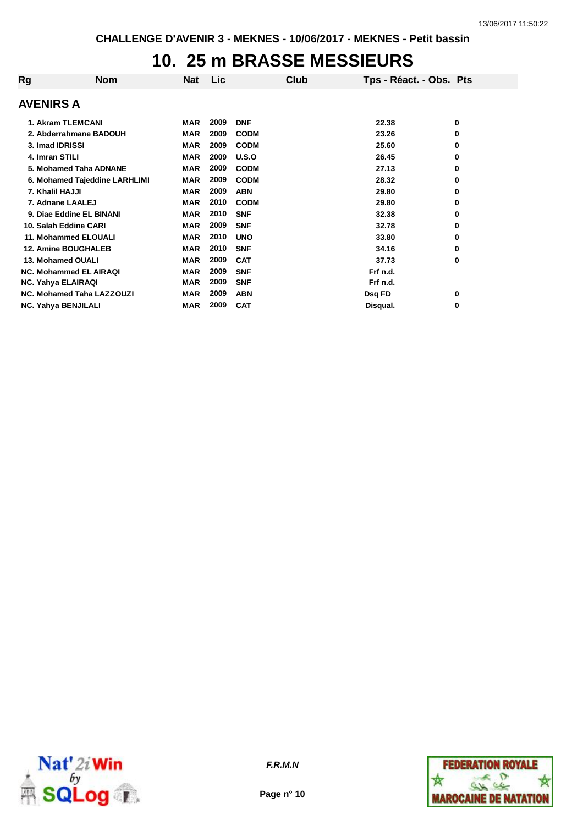## **10. 25 m BRASSE MESSIEURS**

| Rg                 | <b>Nom</b>                       | Nat        | Lic  | Club        | Tps - Réact. - Obs. Pts |   |
|--------------------|----------------------------------|------------|------|-------------|-------------------------|---|
| <b>AVENIRS A</b>   |                                  |            |      |             |                         |   |
|                    | 1. Akram TLEMCANI                | <b>MAR</b> | 2009 | <b>DNF</b>  | 22.38                   | 0 |
|                    | 2. Abderrahmane BADOUH           | <b>MAR</b> | 2009 | <b>CODM</b> | 23.26                   | 0 |
| 3. Imad IDRISSI    |                                  | <b>MAR</b> | 2009 | <b>CODM</b> | 25.60                   | 0 |
| 4. Imran STILI     |                                  | <b>MAR</b> | 2009 | U.S.O       | 26.45                   | 0 |
|                    | 5. Mohamed Taha ADNANE           | <b>MAR</b> | 2009 | <b>CODM</b> | 27.13                   | 0 |
|                    | 6. Mohamed Tajeddine LARHLIMI    | <b>MAR</b> | 2009 | <b>CODM</b> | 28.32                   | 0 |
| 7. Khalil HAJJI    |                                  | <b>MAR</b> | 2009 | <b>ABN</b>  | 29.80                   | 0 |
|                    | 7. Adnane LAALEJ                 | <b>MAR</b> | 2010 | <b>CODM</b> | 29.80                   | 0 |
|                    | 9. Diae Eddine EL BINANI         | <b>MAR</b> | 2010 | <b>SNF</b>  | 32.38                   | 0 |
|                    | 10. Salah Eddine CARI            | <b>MAR</b> | 2009 | <b>SNF</b>  | 32.78                   | 0 |
|                    | 11. Mohammed ELOUALI             | <b>MAR</b> | 2010 | <b>UNO</b>  | 33.80                   | 0 |
|                    | <b>12. Amine BOUGHALEB</b>       | <b>MAR</b> | 2010 | <b>SNF</b>  | 34.16                   | 0 |
|                    | 13. Mohamed OUALI                | <b>MAR</b> | 2009 | <b>CAT</b>  | 37.73                   | 0 |
|                    | <b>NC. Mohammed EL AIRAQI</b>    | <b>MAR</b> | 2009 | <b>SNF</b>  | Frf n.d.                |   |
| NC. Yahya ELAIRAQI |                                  | <b>MAR</b> | 2009 | <b>SNF</b>  | Frf n.d.                |   |
|                    | <b>NC. Mohamed Taha LAZZOUZI</b> | <b>MAR</b> | 2009 | <b>ABN</b>  | Dsq FD                  | 0 |
|                    | <b>NC. Yahya BENJILALI</b>       | <b>MAR</b> | 2009 | <b>CAT</b>  | Disqual.                | 0 |



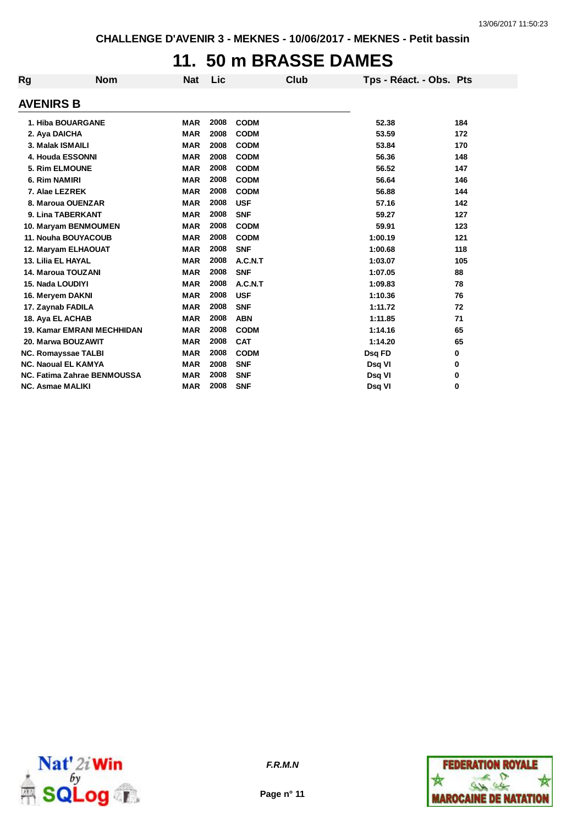### **11. 50 m BRASSE DAMES**

| Rg | <b>Nom</b>                        | <b>Nat</b> | Lic  | Club        | Tps - Réact. - Obs. Pts |     |
|----|-----------------------------------|------------|------|-------------|-------------------------|-----|
|    | <b>AVENIRS B</b>                  |            |      |             |                         |     |
|    | 1. Hiba BOUARGANE                 | <b>MAR</b> | 2008 | <b>CODM</b> | 52.38                   | 184 |
|    | 2. Aya DAICHA                     | <b>MAR</b> | 2008 | <b>CODM</b> | 53.59                   | 172 |
|    | 3. Malak ISMAILI                  | <b>MAR</b> | 2008 | <b>CODM</b> | 53.84                   | 170 |
|    | 4. Houda ESSONNI                  | <b>MAR</b> | 2008 | <b>CODM</b> | 56.36                   | 148 |
|    | 5. Rim ELMOUNE                    | <b>MAR</b> | 2008 | <b>CODM</b> | 56.52                   | 147 |
|    | 6. Rim NAMIRI                     | <b>MAR</b> | 2008 | <b>CODM</b> | 56.64                   | 146 |
|    | 7. Alae LEZREK                    | <b>MAR</b> | 2008 | <b>CODM</b> | 56.88                   | 144 |
|    | 8. Maroua OUENZAR                 | <b>MAR</b> | 2008 | <b>USF</b>  | 57.16                   | 142 |
|    | 9. Lina TABERKANT                 | <b>MAR</b> | 2008 | <b>SNF</b>  | 59.27                   | 127 |
|    | 10. Maryam BENMOUMEN              | <b>MAR</b> | 2008 | <b>CODM</b> | 59.91                   | 123 |
|    | 11. Nouha BOUYACOUB               | <b>MAR</b> | 2008 | <b>CODM</b> | 1:00.19                 | 121 |
|    | 12. Maryam ELHAOUAT               | <b>MAR</b> | 2008 | <b>SNF</b>  | 1:00.68                 | 118 |
|    | 13. Lilia EL HAYAL                | <b>MAR</b> | 2008 | A.C.N.T     | 1:03.07                 | 105 |
|    | 14. Maroua TOUZANI                | <b>MAR</b> | 2008 | <b>SNF</b>  | 1:07.05                 | 88  |
|    | 15. Nada LOUDIYI                  | <b>MAR</b> | 2008 | A.C.N.T     | 1:09.83                 | 78  |
|    | 16. Meryem DAKNI                  | <b>MAR</b> | 2008 | <b>USF</b>  | 1:10.36                 | 76  |
|    | 17. Zaynab FADILA                 | <b>MAR</b> | 2008 | <b>SNF</b>  | 1:11.72                 | 72  |
|    | 18. Aya EL ACHAB                  | <b>MAR</b> | 2008 | <b>ABN</b>  | 1:11.85                 | 71  |
|    | <b>19. Kamar EMRANI MECHHIDAN</b> | <b>MAR</b> | 2008 | <b>CODM</b> | 1:14.16                 | 65  |
|    | 20. Marwa BOUZAWIT                | <b>MAR</b> | 2008 | <b>CAT</b>  | 1:14.20                 | 65  |
|    | <b>NC. Romayssae TALBI</b>        | <b>MAR</b> | 2008 | <b>CODM</b> | Dsq FD                  | 0   |
|    | <b>NC. Naoual EL KAMYA</b>        | <b>MAR</b> | 2008 | <b>SNF</b>  | Dsq VI                  | 0   |
|    | NC. Fatima Zahrae BENMOUSSA       | <b>MAR</b> | 2008 | <b>SNF</b>  | Dsq VI                  | 0   |
|    | <b>NC. Asmae MALIKI</b>           | <b>MAR</b> | 2008 | <b>SNF</b>  | Dsq VI                  | 0   |
|    |                                   |            |      |             |                         |     |



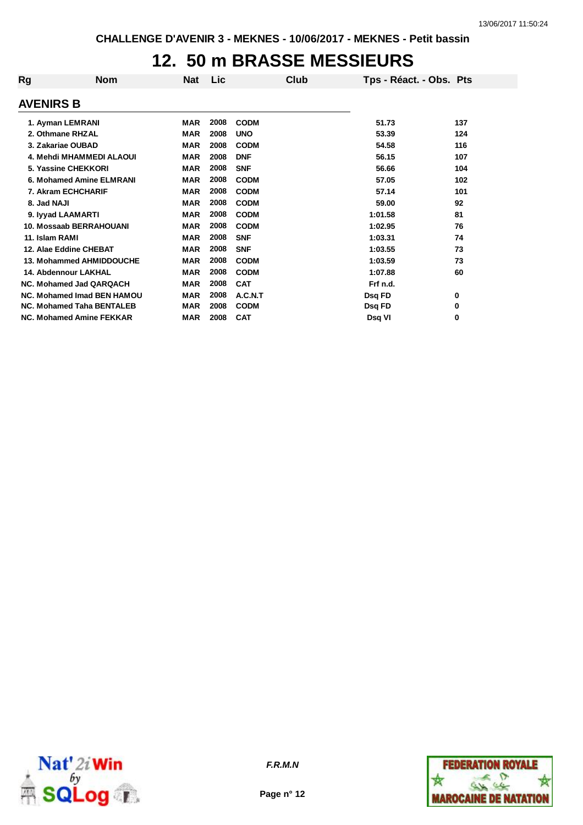## **12. 50 m BRASSE MESSIEURS**

| Rg               | <b>Nom</b>                       | Nat        | <b>Lic</b> | Club        | Tps - Réact. - Obs. Pts |     |
|------------------|----------------------------------|------------|------------|-------------|-------------------------|-----|
| <b>AVENIRS B</b> |                                  |            |            |             |                         |     |
|                  | 1. Ayman LEMRANI                 | MAR        | 2008       | <b>CODM</b> | 51.73                   | 137 |
|                  | 2. Othmane RHZAL                 | <b>MAR</b> | 2008       | <b>UNO</b>  | 53.39                   | 124 |
|                  | 3. Zakariae OUBAD                | <b>MAR</b> | 2008       | <b>CODM</b> | 54.58                   | 116 |
|                  | 4. Mehdi MHAMMEDI ALAOUI         | <b>MAR</b> | 2008       | <b>DNF</b>  | 56.15                   | 107 |
|                  | 5. Yassine CHEKKORI              | <b>MAR</b> | 2008       | <b>SNF</b>  | 56.66                   | 104 |
|                  | 6. Mohamed Amine ELMRANI         | <b>MAR</b> | 2008       | <b>CODM</b> | 57.05                   | 102 |
|                  | 7. Akram ECHCHARIF               | <b>MAR</b> | 2008       | <b>CODM</b> | 57.14                   | 101 |
| 8. Jad NAJI      |                                  | <b>MAR</b> | 2008       | <b>CODM</b> | 59.00                   | 92  |
|                  | 9. lyyad LAAMARTI                | MAR        | 2008       | <b>CODM</b> | 1:01.58                 | 81  |
|                  | 10. Mossaab BERRAHOUANI          | <b>MAR</b> | 2008       | <b>CODM</b> | 1:02.95                 | 76  |
| 11. Islam RAMI   |                                  | <b>MAR</b> | 2008       | <b>SNF</b>  | 1:03.31                 | 74  |
|                  | 12. Alae Eddine CHEBAT           | MAR        | 2008       | <b>SNF</b>  | 1:03.55                 | 73  |
|                  | 13. Mohammed AHMIDDOUCHE         | MAR        | 2008       | <b>CODM</b> | 1:03.59                 | 73  |
|                  | <b>14. Abdennour LAKHAL</b>      | <b>MAR</b> | 2008       | <b>CODM</b> | 1:07.88                 | 60  |
|                  | NC. Mohamed Jad QARQACH          | <b>MAR</b> | 2008       | <b>CAT</b>  | Frf n.d.                |     |
|                  | NC. Mohamed Imad BEN HAMOU       | MAR        | 2008       | A.C.N.T     | Dsq FD                  | 0   |
|                  | <b>NC. Mohamed Taha BENTALEB</b> | MAR        | 2008       | <b>CODM</b> | Dsq FD                  | 0   |
|                  | NC. Mohamed Amine FEKKAR         | MAR        | 2008       | <b>CAT</b>  | Dsq VI                  | 0   |



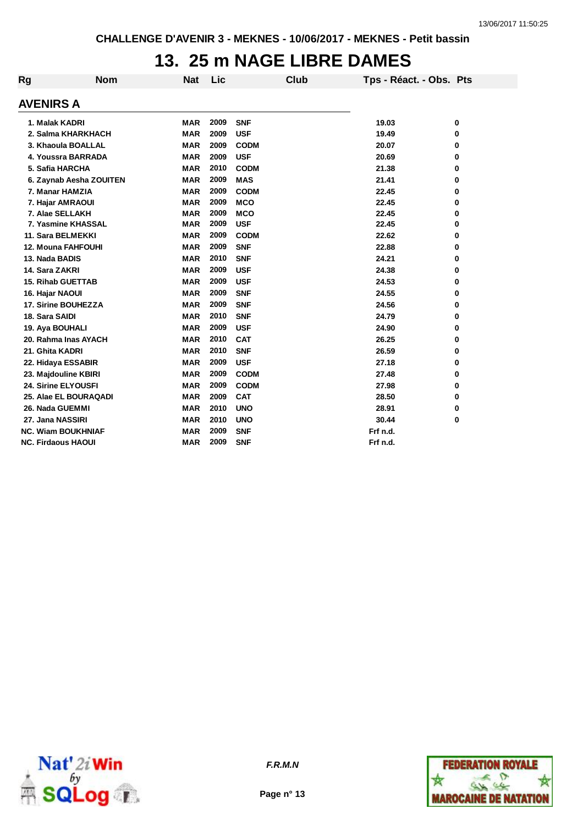## **13. 25 m NAGE LIBRE DAMES**

| Rg | <b>Nom</b>                | <b>Nat</b> | Lic  | Club        | Tps - Réact. - Obs. Pts |   |
|----|---------------------------|------------|------|-------------|-------------------------|---|
|    | <b>AVENIRS A</b>          |            |      |             |                         |   |
|    | 1. Malak KADRI            | <b>MAR</b> | 2009 | <b>SNF</b>  | 19.03                   | 0 |
|    | 2. Salma KHARKHACH        | <b>MAR</b> | 2009 | <b>USF</b>  | 19.49                   | 0 |
|    | 3. Khaoula BOALLAL        | <b>MAR</b> | 2009 | <b>CODM</b> | 20.07                   | 0 |
|    | 4. Youssra BARRADA        | <b>MAR</b> | 2009 | <b>USF</b>  | 20.69                   | 0 |
|    | 5. Safia HARCHA           | <b>MAR</b> | 2010 | <b>CODM</b> | 21.38                   | 0 |
|    | 6. Zaynab Aesha ZOUITEN   | <b>MAR</b> | 2009 | <b>MAS</b>  | 21.41                   | 0 |
|    | 7. Manar HAMZIA           | <b>MAR</b> | 2009 | <b>CODM</b> | 22.45                   | 0 |
|    | 7. Hajar AMRAOUI          | <b>MAR</b> | 2009 | <b>MCO</b>  | 22.45                   | 0 |
|    | 7. Alae SELLAKH           | <b>MAR</b> | 2009 | <b>MCO</b>  | 22.45                   | 0 |
|    | 7. Yasmine KHASSAL        | <b>MAR</b> | 2009 | <b>USF</b>  | 22.45                   | 0 |
|    | 11. Sara BELMEKKI         | <b>MAR</b> | 2009 | <b>CODM</b> | 22.62                   | 0 |
|    | 12. Mouna FAHFOUHI        | <b>MAR</b> | 2009 | <b>SNF</b>  | 22.88                   | 0 |
|    | 13. Nada BADIS            | <b>MAR</b> | 2010 | <b>SNF</b>  | 24.21                   | 0 |
|    | 14. Sara ZAKRI            | <b>MAR</b> | 2009 | <b>USF</b>  | 24.38                   | 0 |
|    | <b>15. Rihab GUETTAB</b>  | <b>MAR</b> | 2009 | <b>USF</b>  | 24.53                   | 0 |
|    | 16. Hajar NAOUI           | <b>MAR</b> | 2009 | <b>SNF</b>  | 24.55                   | 0 |
|    | 17. Sirine BOUHEZZA       | <b>MAR</b> | 2009 | <b>SNF</b>  | 24.56                   | 0 |
|    | 18. Sara SAIDI            | <b>MAR</b> | 2010 | <b>SNF</b>  | 24.79                   | 0 |
|    | 19. Aya BOUHALI           | <b>MAR</b> | 2009 | <b>USF</b>  | 24.90                   | 0 |
|    | 20. Rahma Inas AYACH      | <b>MAR</b> | 2010 | <b>CAT</b>  | 26.25                   | 0 |
|    | 21. Ghita KADRI           | <b>MAR</b> | 2010 | <b>SNF</b>  | 26.59                   | 0 |
|    | 22. Hidaya ESSABIR        | <b>MAR</b> | 2009 | <b>USF</b>  | 27.18                   | 0 |
|    | 23. Majdouline KBIRI      | <b>MAR</b> | 2009 | <b>CODM</b> | 27.48                   | 0 |
|    | 24. Sirine ELYOUSFI       | <b>MAR</b> | 2009 | <b>CODM</b> | 27.98                   | 0 |
|    | 25. Alae EL BOURAQADI     | <b>MAR</b> | 2009 | <b>CAT</b>  | 28.50                   | 0 |
|    | 26. Nada GUEMMI           | <b>MAR</b> | 2010 | <b>UNO</b>  | 28.91                   | 0 |
|    | 27. Jana NASSIRI          | <b>MAR</b> | 2010 | <b>UNO</b>  | 30.44                   | 0 |
|    | <b>NC. Wiam BOUKHNIAF</b> | <b>MAR</b> | 2009 | <b>SNF</b>  | Frf n.d.                |   |
|    | <b>NC. Firdaous HAOUI</b> | <b>MAR</b> | 2009 | <b>SNF</b>  | Frf n.d.                |   |



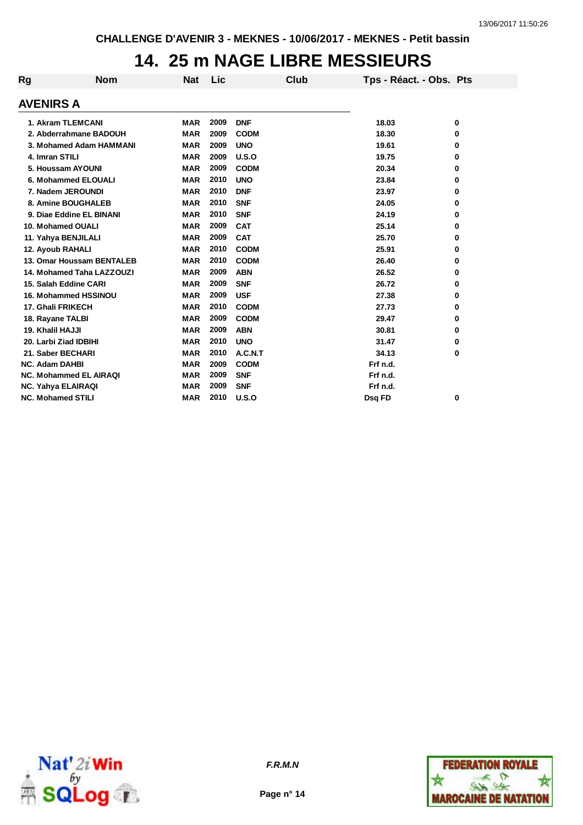## **14. 25 m NAGE LIBRE MESSIEURS**

| <b>Rg</b>             | <b>Nom</b>                    | Nat        | Lic  | Club        | Tps - Réact. - Obs. Pts |   |
|-----------------------|-------------------------------|------------|------|-------------|-------------------------|---|
| <b>AVENIRS A</b>      |                               |            |      |             |                         |   |
|                       | 1. Akram TLEMCANI             | <b>MAR</b> | 2009 | <b>DNF</b>  | 18.03                   | 0 |
|                       | 2. Abderrahmane BADOUH        | <b>MAR</b> | 2009 | <b>CODM</b> | 18.30                   | 0 |
|                       | 3. Mohamed Adam HAMMANI       | <b>MAR</b> | 2009 | <b>UNO</b>  | 19.61                   | 0 |
| 4. Imran STILI        |                               | <b>MAR</b> | 2009 | U.S.O       | 19.75                   | 0 |
|                       | 5. Houssam AYOUNI             | <b>MAR</b> | 2009 | <b>CODM</b> | 20.34                   |   |
|                       |                               |            | 2010 |             |                         | 0 |
|                       | 6. Mohammed ELOUALI           | <b>MAR</b> |      | <b>UNO</b>  | 23.84                   | 0 |
|                       | 7. Nadem JEROUNDI             | <b>MAR</b> | 2010 | <b>DNF</b>  | 23.97                   | 0 |
|                       | 8. Amine BOUGHALEB            | <b>MAR</b> | 2010 | <b>SNF</b>  | 24.05                   | 0 |
|                       | 9. Diae Eddine EL BINANI      | <b>MAR</b> | 2010 | <b>SNF</b>  | 24.19                   | 0 |
|                       | 10. Mohamed OUALI             | <b>MAR</b> | 2009 | <b>CAT</b>  | 25.14                   | 0 |
|                       | 11. Yahya BENJILALI           | <b>MAR</b> | 2009 | <b>CAT</b>  | 25.70                   | 0 |
|                       | 12. Ayoub RAHALI              | <b>MAR</b> | 2010 | <b>CODM</b> | 25.91                   | 0 |
|                       | 13. Omar Houssam BENTALEB     | <b>MAR</b> | 2010 | <b>CODM</b> | 26.40                   | 0 |
|                       | 14. Mohamed Taha LAZZOUZI     | <b>MAR</b> | 2009 | <b>ABN</b>  | 26.52                   | 0 |
|                       | 15. Salah Eddine CARI         | <b>MAR</b> | 2009 | <b>SNF</b>  | 26.72                   | 0 |
|                       | 16. Mohammed HSSINOU          | <b>MAR</b> | 2009 | <b>USF</b>  | 27.38                   | 0 |
|                       | 17. Ghali FRIKECH             | <b>MAR</b> | 2010 | <b>CODM</b> | 27.73                   | 0 |
|                       | 18. Rayane TALBI              | <b>MAR</b> | 2009 | <b>CODM</b> | 29.47                   | 0 |
| 19. Khalil HAJJI      |                               | <b>MAR</b> | 2009 | <b>ABN</b>  | 30.81                   | 0 |
|                       | 20. Larbi Ziad IDBIHI         | <b>MAR</b> | 2010 | <b>UNO</b>  | 31.47                   | 0 |
|                       | 21. Saber BECHARI             | <b>MAR</b> | 2010 | A.C.N.T     | 34.13                   | 0 |
| <b>NC. Adam DAHBI</b> |                               | <b>MAR</b> | 2009 | <b>CODM</b> | Frf n.d.                |   |
|                       | <b>NC. Mohammed EL AIRAQI</b> | <b>MAR</b> | 2009 | <b>SNF</b>  | Frf n.d.                |   |
|                       | NC. Yahya ELAIRAQI            | <b>MAR</b> | 2009 | <b>SNF</b>  | Frf n.d.                |   |
|                       | <b>NC. Mohamed STILI</b>      | <b>MAR</b> | 2010 | U.S.O       | Dsq FD                  | 0 |



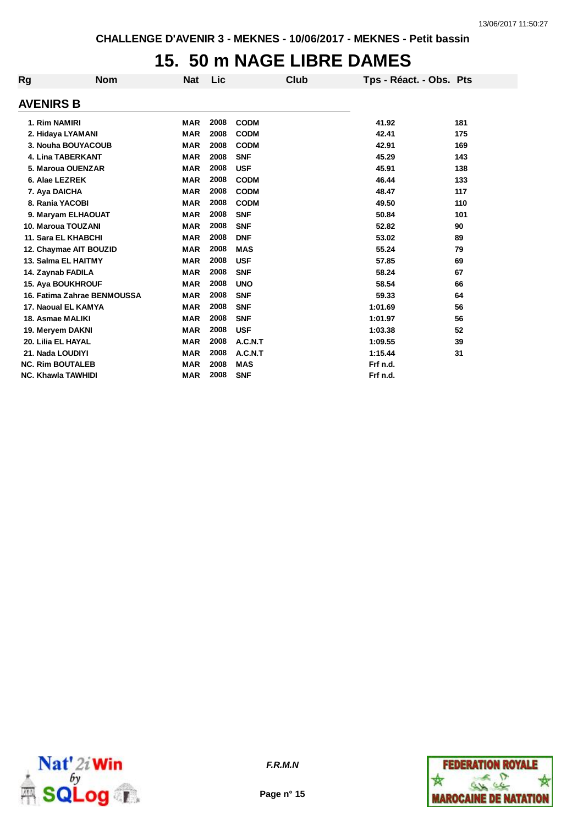## **15. 50 m NAGE LIBRE DAMES**

| Rg               | <b>Nom</b>                  | <b>Nat</b> | Lic  | Club        | Tps - Réact. - Obs. Pts |     |
|------------------|-----------------------------|------------|------|-------------|-------------------------|-----|
| <b>AVENIRS B</b> |                             |            |      |             |                         |     |
|                  | 1. Rim NAMIRI               | <b>MAR</b> | 2008 | <b>CODM</b> | 41.92                   | 181 |
|                  | 2. Hidaya LYAMANI           | <b>MAR</b> | 2008 | <b>CODM</b> | 42.41                   | 175 |
|                  | 3. Nouha BOUYACOUB          | <b>MAR</b> | 2008 | <b>CODM</b> | 42.91                   | 169 |
|                  | <b>4. Lina TABERKANT</b>    | <b>MAR</b> | 2008 | <b>SNF</b>  | 45.29                   | 143 |
|                  | 5. Maroua OUENZAR           | <b>MAR</b> | 2008 | <b>USF</b>  | 45.91                   | 138 |
|                  | 6. Alae LEZREK              | <b>MAR</b> | 2008 | <b>CODM</b> | 46.44                   | 133 |
|                  | 7. Aya DAICHA               | <b>MAR</b> | 2008 | <b>CODM</b> | 48.47                   | 117 |
|                  | 8. Rania YACOBI             | <b>MAR</b> | 2008 | <b>CODM</b> | 49.50                   | 110 |
|                  | 9. Maryam ELHAOUAT          | <b>MAR</b> | 2008 | <b>SNF</b>  | 50.84                   | 101 |
|                  | 10. Maroua TOUZANI          | <b>MAR</b> | 2008 | <b>SNF</b>  | 52.82                   | 90  |
|                  | 11. Sara EL KHABCHI         | <b>MAR</b> | 2008 | <b>DNF</b>  | 53.02                   | 89  |
|                  | 12. Chaymae AIT BOUZID      | <b>MAR</b> | 2008 | <b>MAS</b>  | 55.24                   | 79  |
|                  | 13. Salma EL HAITMY         | <b>MAR</b> | 2008 | <b>USF</b>  | 57.85                   | 69  |
|                  | 14. Zaynab FADILA           | <b>MAR</b> | 2008 | <b>SNF</b>  | 58.24                   | 67  |
|                  | <b>15. Aya BOUKHROUF</b>    | <b>MAR</b> | 2008 | <b>UNO</b>  | 58.54                   | 66  |
|                  | 16. Fatima Zahrae BENMOUSSA | <b>MAR</b> | 2008 | <b>SNF</b>  | 59.33                   | 64  |
|                  | 17. Naoual EL KAMYA         | <b>MAR</b> | 2008 | <b>SNF</b>  | 1:01.69                 | 56  |
|                  | 18. Asmae MALIKI            | <b>MAR</b> | 2008 | <b>SNF</b>  | 1:01.97                 | 56  |
|                  | 19. Meryem DAKNI            | <b>MAR</b> | 2008 | <b>USF</b>  | 1:03.38                 | 52  |
|                  | 20. Lilia EL HAYAL          | <b>MAR</b> | 2008 | A.C.N.T     | 1:09.55                 | 39  |
|                  | 21. Nada LOUDIYI            | <b>MAR</b> | 2008 | A.C.N.T     | 1:15.44                 | 31  |
|                  | <b>NC. Rim BOUTALEB</b>     | <b>MAR</b> | 2008 | <b>MAS</b>  | Frf n.d.                |     |
|                  | <b>NC. Khawla TAWHIDI</b>   | <b>MAR</b> | 2008 | <b>SNF</b>  | Frf n.d.                |     |



*F.R.M.N*